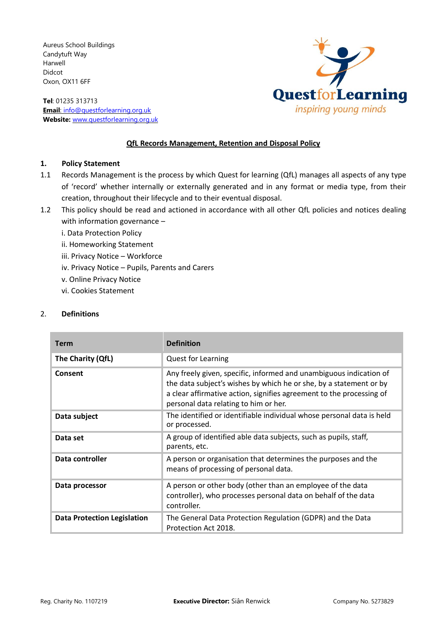Aureus School Buildings Candytuft Way Harwell Didcot Oxon, OX11 6FF

**Tel**: 01235 313713 **Email**: [info@questforlearning.org.uk](mailto:info@questforlearning.org.uk) **Website:** [www.questforlearning.org.uk](http://www.questforlearning.org.uk/)



### **QfL Records Management, Retention and Disposal Policy**

#### **1. Policy Statement**

- 1.1 Records Management is the process by which Quest for learning (QfL) manages all aspects of any type of 'record' whether internally or externally generated and in any format or media type, from their creation, throughout their lifecycle and to their eventual disposal.
- 1.2 This policy should be read and actioned in accordance with all other QfL policies and notices dealing with information governance –
	- i. Data Protection Policy
	- ii. Homeworking Statement
	- iii. Privacy Notice Workforce
	- iv. Privacy Notice Pupils, Parents and Carers
	- v. Online Privacy Notice
	- vi. Cookies Statement

#### 2. **Definitions**

| <b>Term</b>                        | <b>Definition</b>                                                                                                                                                                                                                                         |
|------------------------------------|-----------------------------------------------------------------------------------------------------------------------------------------------------------------------------------------------------------------------------------------------------------|
| The Charity (QfL)                  | <b>Quest for Learning</b>                                                                                                                                                                                                                                 |
| Consent                            | Any freely given, specific, informed and unambiguous indication of<br>the data subject's wishes by which he or she, by a statement or by<br>a clear affirmative action, signifies agreement to the processing of<br>personal data relating to him or her. |
| Data subject                       | The identified or identifiable individual whose personal data is held<br>or processed.                                                                                                                                                                    |
| Data set                           | A group of identified able data subjects, such as pupils, staff,<br>parents, etc.                                                                                                                                                                         |
| Data controller                    | A person or organisation that determines the purposes and the<br>means of processing of personal data.                                                                                                                                                    |
| Data processor                     | A person or other body (other than an employee of the data<br>controller), who processes personal data on behalf of the data<br>controller.                                                                                                               |
| <b>Data Protection Legislation</b> | The General Data Protection Regulation (GDPR) and the Data<br>Protection Act 2018.                                                                                                                                                                        |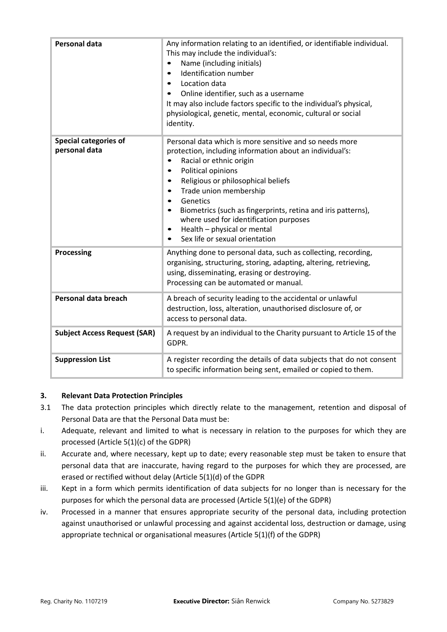| <b>Personal data</b>                          | Any information relating to an identified, or identifiable individual.<br>This may include the individual's:<br>Name (including initials)<br>Identification number<br>$\bullet$<br>Location data<br>$\bullet$<br>Online identifier, such as a username<br>$\bullet$<br>It may also include factors specific to the individual's physical,<br>physiological, genetic, mental, economic, cultural or social<br>identity.                                                                                                 |  |
|-----------------------------------------------|------------------------------------------------------------------------------------------------------------------------------------------------------------------------------------------------------------------------------------------------------------------------------------------------------------------------------------------------------------------------------------------------------------------------------------------------------------------------------------------------------------------------|--|
| <b>Special categories of</b><br>personal data | Personal data which is more sensitive and so needs more<br>protection, including information about an individual's:<br>Racial or ethnic origin<br>Political opinions<br>$\bullet$<br>Religious or philosophical beliefs<br>$\bullet$<br>Trade union membership<br>$\bullet$<br>Genetics<br>$\bullet$<br>Biometrics (such as fingerprints, retina and iris patterns),<br>$\bullet$<br>where used for identification purposes<br>Health - physical or mental<br>$\bullet$<br>Sex life or sexual orientation<br>$\bullet$ |  |
| <b>Processing</b>                             | Anything done to personal data, such as collecting, recording,<br>organising, structuring, storing, adapting, altering, retrieving,<br>using, disseminating, erasing or destroying.<br>Processing can be automated or manual.                                                                                                                                                                                                                                                                                          |  |
| Personal data breach                          | A breach of security leading to the accidental or unlawful<br>destruction, loss, alteration, unauthorised disclosure of, or<br>access to personal data.                                                                                                                                                                                                                                                                                                                                                                |  |
| <b>Subject Access Request (SAR)</b>           | A request by an individual to the Charity pursuant to Article 15 of the<br>GDPR.                                                                                                                                                                                                                                                                                                                                                                                                                                       |  |
| <b>Suppression List</b>                       | A register recording the details of data subjects that do not consent<br>to specific information being sent, emailed or copied to them.                                                                                                                                                                                                                                                                                                                                                                                |  |

# **3. Relevant Data Protection Principles**

- 3.1 The data protection principles which directly relate to the management, retention and disposal of Personal Data are that the Personal Data must be:
- i. Adequate, relevant and limited to what is necessary in relation to the purposes for which they are processed (Article 5(1)(c) of the GDPR)
- ii. Accurate and, where necessary, kept up to date; every reasonable step must be taken to ensure that personal data that are inaccurate, having regard to the purposes for which they are processed, are erased or rectified without delay (Article 5(1)(d) of the GDPR
- iii. Kept in a form which permits identification of data subjects for no longer than is necessary for the purposes for which the personal data are processed (Article 5(1)(e) of the GDPR)
- iv. Processed in a manner that ensures appropriate security of the personal data, including protection against unauthorised or unlawful processing and against accidental loss, destruction or damage, using appropriate technical or organisational measures (Article 5(1)(f) of the GDPR)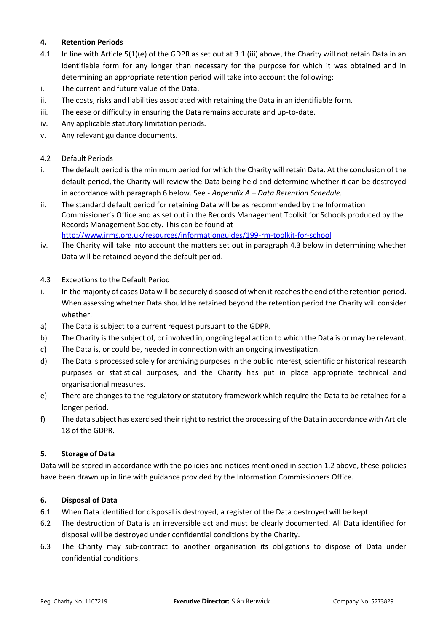### **4. Retention Periods**

- 4.1 In line with Article 5(1)(e) of the GDPR as set out at 3.1 (iii) above, the Charity will not retain Data in an identifiable form for any longer than necessary for the purpose for which it was obtained and in determining an appropriate retention period will take into account the following:
- i. The current and future value of the Data.
- ii. The costs, risks and liabilities associated with retaining the Data in an identifiable form.
- iii. The ease or difficulty in ensuring the Data remains accurate and up-to-date.
- iv. Any applicable statutory limitation periods.
- v. Any relevant guidance documents.
- 4.2 Default Periods
- i. The default period is the minimum period for which the Charity will retain Data. At the conclusion of the default period, the Charity will review the Data being held and determine whether it can be destroyed in accordance with paragraph 6 below. See - *Appendix A – Data Retention Schedule.*
- ii. The standard default period for retaining Data will be as recommended by the Information Commissioner's Office and as set out in the Records Management Toolkit for Schools produced by the Records Management Society. This can be found at <http://www.irms.org.uk/resources/informationguides/199-rm-toolkit-for-school>
- iv. The Charity will take into account the matters set out in paragraph 4.3 below in determining whether Data will be retained beyond the default period.
- 4.3 Exceptions to the Default Period
- i. In the majority of cases Data will be securely disposed of when it reaches the end of the retention period. When assessing whether Data should be retained beyond the retention period the Charity will consider whether:
- a) The Data is subject to a current request pursuant to the GDPR.
- b) The Charity is the subject of, or involved in, ongoing legal action to which the Data is or may be relevant.
- c) The Data is, or could be, needed in connection with an ongoing investigation.
- d) The Data is processed solely for archiving purposes in the public interest, scientific or historical research purposes or statistical purposes, and the Charity has put in place appropriate technical and organisational measures.
- e) There are changes to the regulatory or statutory framework which require the Data to be retained for a longer period.
- f) The data subject has exercised their right to restrict the processing of the Data in accordance with Article 18 of the GDPR.

# **5. Storage of Data**

Data will be stored in accordance with the policies and notices mentioned in section 1.2 above, these policies have been drawn up in line with guidance provided by the Information Commissioners Office.

#### **6. Disposal of Data**

- 6.1 When Data identified for disposal is destroyed, a register of the Data destroyed will be kept.
- 6.2 The destruction of Data is an irreversible act and must be clearly documented. All Data identified for disposal will be destroyed under confidential conditions by the Charity.
- 6.3 The Charity may sub-contract to another organisation its obligations to dispose of Data under confidential conditions.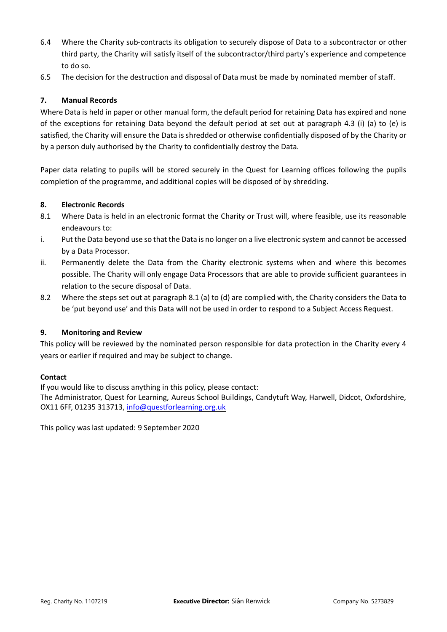- 6.4 Where the Charity sub-contracts its obligation to securely dispose of Data to a subcontractor or other third party, the Charity will satisfy itself of the subcontractor/third party's experience and competence to do so.
- 6.5 The decision for the destruction and disposal of Data must be made by nominated member of staff.

### **7. Manual Records**

Where Data is held in paper or other manual form, the default period for retaining Data has expired and none of the exceptions for retaining Data beyond the default period at set out at paragraph 4.3 (i) (a) to (e) is satisfied, the Charity will ensure the Data is shredded or otherwise confidentially disposed of by the Charity or by a person duly authorised by the Charity to confidentially destroy the Data.

Paper data relating to pupils will be stored securely in the Quest for Learning offices following the pupils completion of the programme, and additional copies will be disposed of by shredding.

#### **8. Electronic Records**

- 8.1 Where Data is held in an electronic format the Charity or Trust will, where feasible, use its reasonable endeavours to:
- i. Put the Data beyond use so that the Data is no longer on a live electronic system and cannot be accessed by a Data Processor.
- ii. Permanently delete the Data from the Charity electronic systems when and where this becomes possible. The Charity will only engage Data Processors that are able to provide sufficient guarantees in relation to the secure disposal of Data.
- 8.2 Where the steps set out at paragraph 8.1 (a) to (d) are complied with, the Charity considers the Data to be 'put beyond use' and this Data will not be used in order to respond to a Subject Access Request.

#### **9. Monitoring and Review**

This policy will be reviewed by the nominated person responsible for data protection in the Charity every 4 years or earlier if required and may be subject to change.

#### **Contact**

If you would like to discuss anything in this policy, please contact:

The Administrator, Quest for Learning, Aureus School Buildings, Candytuft Way, Harwell, Didcot, Oxfordshire, OX11 6FF, 01235 313713, [info@questforlearning.org.uk](mailto:info@questforlearning.org.uk)

This policy was last updated: 9 September 2020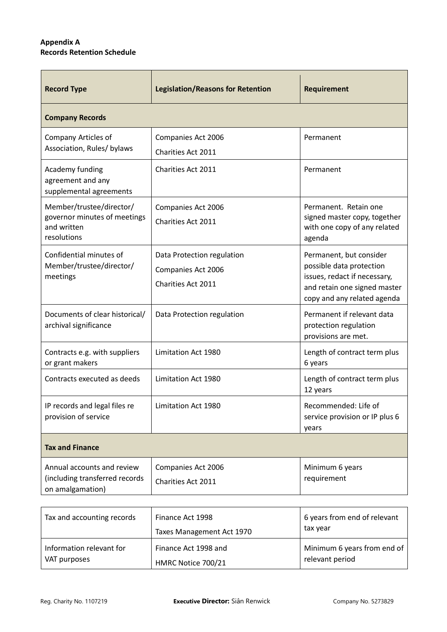# **Appendix A Records Retention Schedule**

| <b>Record Type</b>                                                                     | <b>Legislation/Reasons for Retention</b>                                      | Requirement                                                                                                                                        |
|----------------------------------------------------------------------------------------|-------------------------------------------------------------------------------|----------------------------------------------------------------------------------------------------------------------------------------------------|
| <b>Company Records</b>                                                                 |                                                                               |                                                                                                                                                    |
| Company Articles of<br>Association, Rules/ bylaws                                      | Companies Act 2006<br><b>Charities Act 2011</b>                               | Permanent                                                                                                                                          |
| Academy funding<br>agreement and any<br>supplemental agreements                        | Charities Act 2011                                                            | Permanent                                                                                                                                          |
| Member/trustee/director/<br>governor minutes of meetings<br>and written<br>resolutions | Companies Act 2006<br><b>Charities Act 2011</b>                               | Permanent. Retain one<br>signed master copy, together<br>with one copy of any related<br>agenda                                                    |
| Confidential minutes of<br>Member/trustee/director/<br>meetings                        | Data Protection regulation<br>Companies Act 2006<br><b>Charities Act 2011</b> | Permanent, but consider<br>possible data protection<br>issues, redact if necessary,<br>and retain one signed master<br>copy and any related agenda |
| Documents of clear historical/<br>archival significance                                | Data Protection regulation                                                    | Permanent if relevant data<br>protection regulation<br>provisions are met.                                                                         |
| Contracts e.g. with suppliers<br>or grant makers                                       | Limitation Act 1980                                                           | Length of contract term plus<br>6 years                                                                                                            |
| Contracts executed as deeds                                                            | Limitation Act 1980                                                           | Length of contract term plus<br>12 years                                                                                                           |
| IP records and legal files re<br>provision of service                                  | Limitation Act 1980                                                           | Recommended: Life of<br>service provision or IP plus 6<br>years                                                                                    |
| <b>Tax and Finance</b>                                                                 |                                                                               |                                                                                                                                                    |
| Annual accounts and review<br>(including transferred records<br>on amalgamation)       | Companies Act 2006<br>Charities Act 2011                                      | Minimum 6 years<br>requirement                                                                                                                     |

| Tax and accounting records               | Finance Act 1998<br>Taxes Management Act 1970 | 6 years from end of relevant<br>tax year       |
|------------------------------------------|-----------------------------------------------|------------------------------------------------|
| Information relevant for<br>VAT purposes | Finance Act 1998 and<br>HMRC Notice 700/21    | Minimum 6 years from end of<br>relevant period |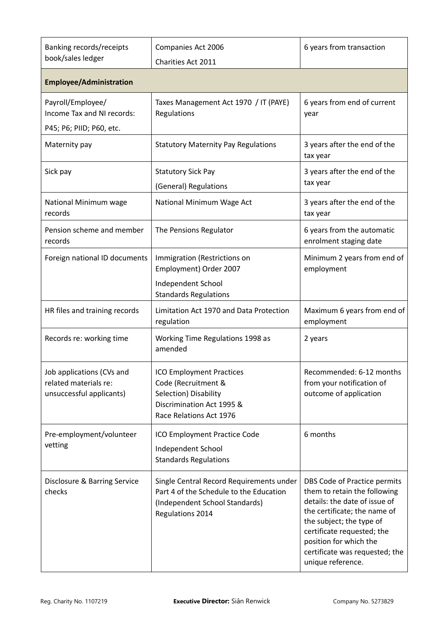| Banking records/receipts<br>book/sales ledger                                  | Companies Act 2006<br>Charities Act 2011                                                                                                  | 6 years from transaction                                                                                                                                                                                                                                                 |
|--------------------------------------------------------------------------------|-------------------------------------------------------------------------------------------------------------------------------------------|--------------------------------------------------------------------------------------------------------------------------------------------------------------------------------------------------------------------------------------------------------------------------|
| <b>Employee/Administration</b>                                                 |                                                                                                                                           |                                                                                                                                                                                                                                                                          |
| Payroll/Employee/<br>Income Tax and NI records:<br>P45; P6; PIID; P60, etc.    | Taxes Management Act 1970 / IT (PAYE)<br>Regulations                                                                                      | 6 years from end of current<br>year                                                                                                                                                                                                                                      |
| Maternity pay                                                                  | <b>Statutory Maternity Pay Regulations</b>                                                                                                | 3 years after the end of the<br>tax year                                                                                                                                                                                                                                 |
| Sick pay                                                                       | <b>Statutory Sick Pay</b><br>(General) Regulations                                                                                        | 3 years after the end of the<br>tax year                                                                                                                                                                                                                                 |
| National Minimum wage<br>records                                               | National Minimum Wage Act                                                                                                                 | 3 years after the end of the<br>tax year                                                                                                                                                                                                                                 |
| Pension scheme and member<br>records                                           | The Pensions Regulator                                                                                                                    | 6 years from the automatic<br>enrolment staging date                                                                                                                                                                                                                     |
| Foreign national ID documents                                                  | Immigration (Restrictions on<br>Employment) Order 2007                                                                                    | Minimum 2 years from end of<br>employment                                                                                                                                                                                                                                |
|                                                                                | Independent School<br><b>Standards Regulations</b>                                                                                        |                                                                                                                                                                                                                                                                          |
| HR files and training records                                                  | Limitation Act 1970 and Data Protection<br>regulation                                                                                     | Maximum 6 years from end of<br>employment                                                                                                                                                                                                                                |
| Records re: working time                                                       | Working Time Regulations 1998 as<br>amended                                                                                               | 2 years                                                                                                                                                                                                                                                                  |
| Job applications (CVs and<br>related materials re:<br>unsuccessful applicants) | <b>ICO Employment Practices</b><br>Code (Recruitment &<br>Selection) Disability<br>Discrimination Act 1995 &<br>Race Relations Act 1976   | Recommended: 6-12 months<br>from your notification of<br>outcome of application                                                                                                                                                                                          |
| Pre-employment/volunteer<br>vetting                                            | ICO Employment Practice Code<br>Independent School<br><b>Standards Regulations</b>                                                        | 6 months                                                                                                                                                                                                                                                                 |
| Disclosure & Barring Service<br>checks                                         | Single Central Record Requirements under<br>Part 4 of the Schedule to the Education<br>(Independent School Standards)<br>Regulations 2014 | DBS Code of Practice permits<br>them to retain the following<br>details: the date of issue of<br>the certificate; the name of<br>the subject; the type of<br>certificate requested; the<br>position for which the<br>certificate was requested; the<br>unique reference. |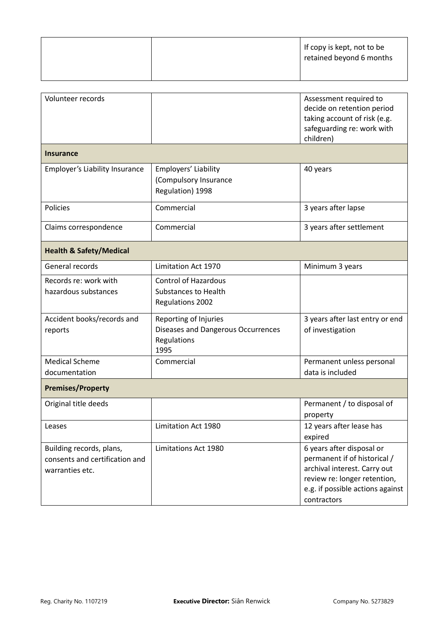|  | If copy is kept, not to be<br>retained beyond 6 months |
|--|--------------------------------------------------------|
|  |                                                        |

| Volunteer records                                                             |                                                                                    | Assessment required to<br>decide on retention period<br>taking account of risk (e.g.<br>safeguarding re: work with<br>children)                                              |
|-------------------------------------------------------------------------------|------------------------------------------------------------------------------------|------------------------------------------------------------------------------------------------------------------------------------------------------------------------------|
| <b>Insurance</b>                                                              |                                                                                    |                                                                                                                                                                              |
| Employer's Liability Insurance                                                | Employers' Liability<br>(Compulsory Insurance<br>Regulation) 1998                  | 40 years                                                                                                                                                                     |
| Policies                                                                      | Commercial                                                                         | 3 years after lapse                                                                                                                                                          |
| Claims correspondence                                                         | Commercial                                                                         | 3 years after settlement                                                                                                                                                     |
| <b>Health &amp; Safety/Medical</b>                                            |                                                                                    |                                                                                                                                                                              |
| General records                                                               | Limitation Act 1970                                                                | Minimum 3 years                                                                                                                                                              |
| Records re: work with<br>hazardous substances                                 | <b>Control of Hazardous</b><br><b>Substances to Health</b><br>Regulations 2002     |                                                                                                                                                                              |
| Accident books/records and<br>reports                                         | Reporting of Injuries<br>Diseases and Dangerous Occurrences<br>Regulations<br>1995 | 3 years after last entry or end<br>of investigation                                                                                                                          |
| <b>Medical Scheme</b><br>documentation                                        | Commercial                                                                         | Permanent unless personal<br>data is included                                                                                                                                |
| <b>Premises/Property</b>                                                      |                                                                                    |                                                                                                                                                                              |
| Original title deeds                                                          |                                                                                    | Permanent / to disposal of<br>property                                                                                                                                       |
| Leases                                                                        | Limitation Act 1980                                                                | 12 years after lease has<br>expired                                                                                                                                          |
| Building records, plans,<br>consents and certification and<br>warranties etc. | Limitations Act 1980                                                               | 6 years after disposal or<br>permanent if of historical /<br>archival interest. Carry out<br>review re: longer retention,<br>e.g. if possible actions against<br>contractors |